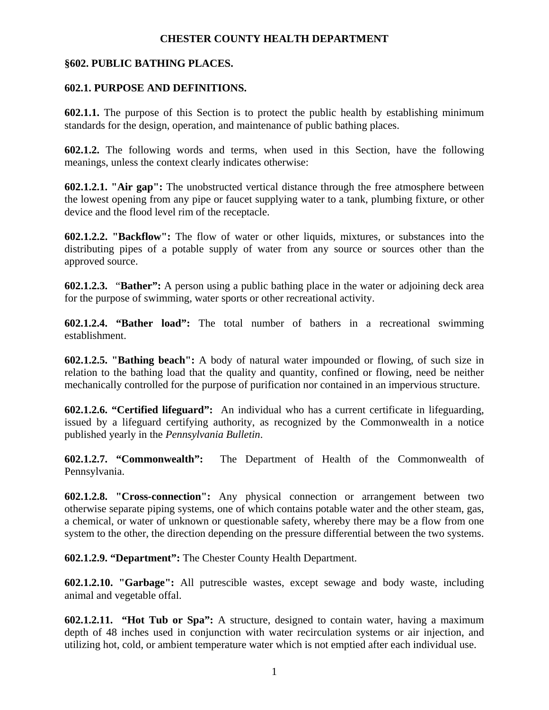#### **CHESTER COUNTY HEALTH DEPARTMENT**

#### **§602. PUBLIC BATHING PLACES.**

#### **602.1. PURPOSE AND DEFINITIONS.**

**602.1.1.** The purpose of this Section is to protect the public health by establishing minimum standards for the design, operation, and maintenance of public bathing places.

**602.1.2.** The following words and terms, when used in this Section, have the following meanings, unless the context clearly indicates otherwise:

**602.1.2.1. "Air gap":** The unobstructed vertical distance through the free atmosphere between the lowest opening from any pipe or faucet supplying water to a tank, plumbing fixture, or other device and the flood level rim of the receptacle.

**602.1.2.2. "Backflow":** The flow of water or other liquids, mixtures, or substances into the distributing pipes of a potable supply of water from any source or sources other than the approved source.

**602.1.2.3.** "**Bather":** A person using a public bathing place in the water or adjoining deck area for the purpose of swimming, water sports or other recreational activity.

**602.1.2.4. "Bather load":** The total number of bathers in a recreational swimming establishment.

**602.1.2.5. "Bathing beach":** A body of natural water impounded or flowing, of such size in relation to the bathing load that the quality and quantity, confined or flowing, need be neither mechanically controlled for the purpose of purification nor contained in an impervious structure.

**602.1.2.6. "Certified lifeguard":** An individual who has a current certificate in lifeguarding, issued by a lifeguard certifying authority, as recognized by the Commonwealth in a notice published yearly in the *Pennsylvania Bulletin*.

**602.1.2.7. "Commonwealth":** The Department of Health of the Commonwealth of Pennsylvania.

**602.1.2.8. "Cross-connection":** Any physical connection or arrangement between two otherwise separate piping systems, one of which contains potable water and the other steam, gas, a chemical, or water of unknown or questionable safety, whereby there may be a flow from one system to the other, the direction depending on the pressure differential between the two systems.

**602.1.2.9. "Department":** The Chester County Health Department.

**602.1.2.10. "Garbage":** All putrescible wastes, except sewage and body waste, including animal and vegetable offal.

**602.1.2.11. "Hot Tub or Spa":** A structure, designed to contain water, having a maximum depth of 48 inches used in conjunction with water recirculation systems or air injection, and utilizing hot, cold, or ambient temperature water which is not emptied after each individual use.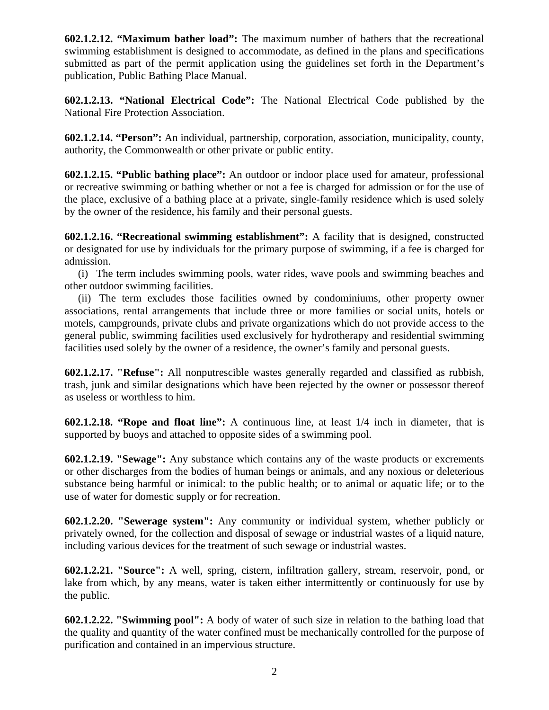**602.1.2.12. "Maximum bather load":** The maximum number of bathers that the recreational swimming establishment is designed to accommodate, as defined in the plans and specifications submitted as part of the permit application using the guidelines set forth in the Department's publication, Public Bathing Place Manual.

**602.1.2.13. "National Electrical Code":** The National Electrical Code published by the National Fire Protection Association.

**602.1.2.14. "Person":** An individual, partnership, corporation, association, municipality, county, authority, the Commonwealth or other private or public entity.

**602.1.2.15. "Public bathing place":** An outdoor or indoor place used for amateur, professional or recreative swimming or bathing whether or not a fee is charged for admission or for the use of the place, exclusive of a bathing place at a private, single-family residence which is used solely by the owner of the residence, his family and their personal guests.

**602.1.2.16. "Recreational swimming establishment":** A facility that is designed, constructed or designated for use by individuals for the primary purpose of swimming, if a fee is charged for admission.

 (i) The term includes swimming pools, water rides, wave pools and swimming beaches and other outdoor swimming facilities.

 (ii) The term excludes those facilities owned by condominiums, other property owner associations, rental arrangements that include three or more families or social units, hotels or motels, campgrounds, private clubs and private organizations which do not provide access to the general public, swimming facilities used exclusively for hydrotherapy and residential swimming facilities used solely by the owner of a residence, the owner's family and personal guests.

**602.1.2.17. "Refuse":** All nonputrescible wastes generally regarded and classified as rubbish, trash, junk and similar designations which have been rejected by the owner or possessor thereof as useless or worthless to him.

**602.1.2.18. "Rope and float line":** A continuous line, at least 1/4 inch in diameter, that is supported by buoys and attached to opposite sides of a swimming pool.

**602.1.2.19. "Sewage":** Any substance which contains any of the waste products or excrements or other discharges from the bodies of human beings or animals, and any noxious or deleterious substance being harmful or inimical: to the public health; or to animal or aquatic life; or to the use of water for domestic supply or for recreation.

**602.1.2.20. "Sewerage system":** Any community or individual system, whether publicly or privately owned, for the collection and disposal of sewage or industrial wastes of a liquid nature, including various devices for the treatment of such sewage or industrial wastes.

**602.1.2.21. "Source":** A well, spring, cistern, infiltration gallery, stream, reservoir, pond, or lake from which, by any means, water is taken either intermittently or continuously for use by the public.

**602.1.2.22. "Swimming pool":** A body of water of such size in relation to the bathing load that the quality and quantity of the water confined must be mechanically controlled for the purpose of purification and contained in an impervious structure.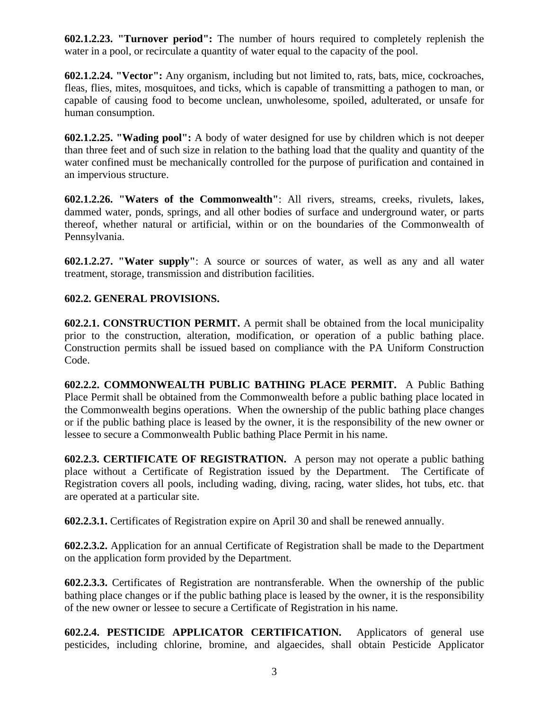**602.1.2.23. "Turnover period":** The number of hours required to completely replenish the water in a pool, or recirculate a quantity of water equal to the capacity of the pool.

**602.1.2.24. "Vector":** Any organism, including but not limited to, rats, bats, mice, cockroaches, fleas, flies, mites, mosquitoes, and ticks, which is capable of transmitting a pathogen to man, or capable of causing food to become unclean, unwholesome, spoiled, adulterated, or unsafe for human consumption.

**602.1.2.25. "Wading pool":** A body of water designed for use by children which is not deeper than three feet and of such size in relation to the bathing load that the quality and quantity of the water confined must be mechanically controlled for the purpose of purification and contained in an impervious structure.

**602.1.2.26. "Waters of the Commonwealth"**: All rivers, streams, creeks, rivulets, lakes, dammed water, ponds, springs, and all other bodies of surface and underground water, or parts thereof, whether natural or artificial, within or on the boundaries of the Commonwealth of Pennsylvania.

**602.1.2.27. "Water supply"**: A source or sources of water, as well as any and all water treatment, storage, transmission and distribution facilities.

### **602.2. GENERAL PROVISIONS.**

**602.2.1. CONSTRUCTION PERMIT.** A permit shall be obtained from the local municipality prior to the construction, alteration, modification, or operation of a public bathing place. Construction permits shall be issued based on compliance with the PA Uniform Construction Code.

**602.2.2. COMMONWEALTH PUBLIC BATHING PLACE PERMIT.** A Public Bathing Place Permit shall be obtained from the Commonwealth before a public bathing place located in the Commonwealth begins operations. When the ownership of the public bathing place changes or if the public bathing place is leased by the owner, it is the responsibility of the new owner or lessee to secure a Commonwealth Public bathing Place Permit in his name.

**602.2.3. CERTIFICATE OF REGISTRATION.** A person may not operate a public bathing place without a Certificate of Registration issued by the Department. The Certificate of Registration covers all pools, including wading, diving, racing, water slides, hot tubs, etc. that are operated at a particular site.

**602.2.3.1.** Certificates of Registration expire on April 30 and shall be renewed annually.

**602.2.3.2.** Application for an annual Certificate of Registration shall be made to the Department on the application form provided by the Department.

**602.2.3.3.** Certificates of Registration are nontransferable. When the ownership of the public bathing place changes or if the public bathing place is leased by the owner, it is the responsibility of the new owner or lessee to secure a Certificate of Registration in his name.

**602.2.4. PESTICIDE APPLICATOR CERTIFICATION.** Applicators of general use pesticides, including chlorine, bromine, and algaecides, shall obtain Pesticide Applicator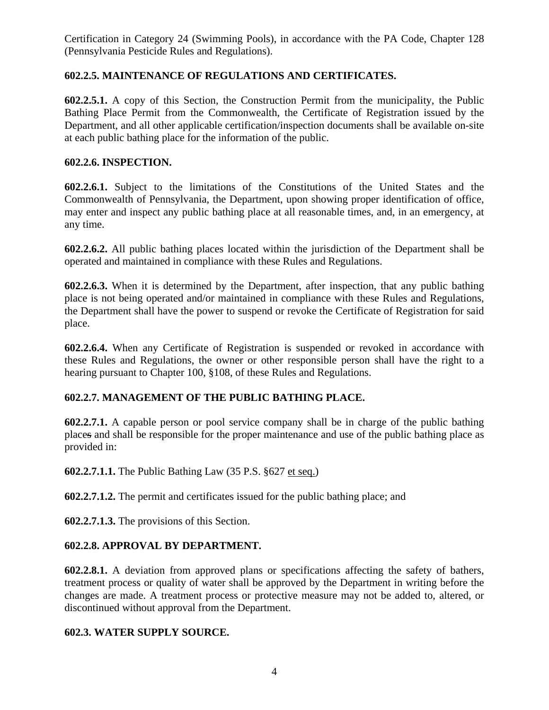Certification in Category 24 (Swimming Pools), in accordance with the PA Code, Chapter 128 (Pennsylvania Pesticide Rules and Regulations).

### **602.2.5. MAINTENANCE OF REGULATIONS AND CERTIFICATES.**

**602.2.5.1.** A copy of this Section, the Construction Permit from the municipality, the Public Bathing Place Permit from the Commonwealth, the Certificate of Registration issued by the Department, and all other applicable certification/inspection documents shall be available on-site at each public bathing place for the information of the public.

#### **602.2.6. INSPECTION.**

**602.2.6.1.** Subject to the limitations of the Constitutions of the United States and the Commonwealth of Pennsylvania, the Department, upon showing proper identification of office, may enter and inspect any public bathing place at all reasonable times, and, in an emergency, at any time.

**602.2.6.2.** All public bathing places located within the jurisdiction of the Department shall be operated and maintained in compliance with these Rules and Regulations.

**602.2.6.3.** When it is determined by the Department, after inspection, that any public bathing place is not being operated and/or maintained in compliance with these Rules and Regulations, the Department shall have the power to suspend or revoke the Certificate of Registration for said place.

**602.2.6.4.** When any Certificate of Registration is suspended or revoked in accordance with these Rules and Regulations, the owner or other responsible person shall have the right to a hearing pursuant to Chapter 100, §108, of these Rules and Regulations.

### **602.2.7. MANAGEMENT OF THE PUBLIC BATHING PLACE.**

**602.2.7.1.** A capable person or pool service company shall be in charge of the public bathing places and shall be responsible for the proper maintenance and use of the public bathing place as provided in:

**602.2.7.1.1.** The Public Bathing Law (35 P.S. §627 et seq.)

**602.2.7.1.2.** The permit and certificates issued for the public bathing place; and

**602.2.7.1.3.** The provisions of this Section.

#### **602.2.8. APPROVAL BY DEPARTMENT.**

**602.2.8.1.** A deviation from approved plans or specifications affecting the safety of bathers, treatment process or quality of water shall be approved by the Department in writing before the changes are made. A treatment process or protective measure may not be added to, altered, or discontinued without approval from the Department.

#### **602.3. WATER SUPPLY SOURCE.**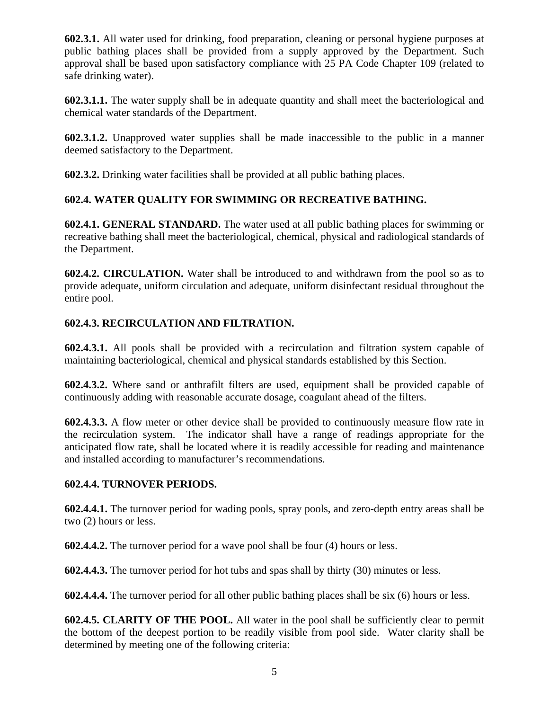**602.3.1.** All water used for drinking, food preparation, cleaning or personal hygiene purposes at public bathing places shall be provided from a supply approved by the Department. Such approval shall be based upon satisfactory compliance with 25 PA Code Chapter 109 (related to safe drinking water).

**602.3.1.1.** The water supply shall be in adequate quantity and shall meet the bacteriological and chemical water standards of the Department.

**602.3.1.2.** Unapproved water supplies shall be made inaccessible to the public in a manner deemed satisfactory to the Department.

**602.3.2.** Drinking water facilities shall be provided at all public bathing places.

# **602.4. WATER QUALITY FOR SWIMMING OR RECREATIVE BATHING.**

**602.4.1. GENERAL STANDARD.** The water used at all public bathing places for swimming or recreative bathing shall meet the bacteriological, chemical, physical and radiological standards of the Department.

**602.4.2. CIRCULATION.** Water shall be introduced to and withdrawn from the pool so as to provide adequate, uniform circulation and adequate, uniform disinfectant residual throughout the entire pool.

# **602.4.3. RECIRCULATION AND FILTRATION.**

**602.4.3.1.** All pools shall be provided with a recirculation and filtration system capable of maintaining bacteriological, chemical and physical standards established by this Section.

**602.4.3.2.** Where sand or anthrafilt filters are used, equipment shall be provided capable of continuously adding with reasonable accurate dosage, coagulant ahead of the filters.

**602.4.3.3.** A flow meter or other device shall be provided to continuously measure flow rate in the recirculation system. The indicator shall have a range of readings appropriate for the anticipated flow rate, shall be located where it is readily accessible for reading and maintenance and installed according to manufacturer's recommendations.

# **602.4.4. TURNOVER PERIODS.**

**602.4.4.1.** The turnover period for wading pools, spray pools, and zero-depth entry areas shall be two (2) hours or less.

**602.4.4.2.** The turnover period for a wave pool shall be four (4) hours or less.

**602.4.4.3.** The turnover period for hot tubs and spas shall by thirty (30) minutes or less.

**602.4.4.4.** The turnover period for all other public bathing places shall be six (6) hours or less.

**602.4.5. CLARITY OF THE POOL.** All water in the pool shall be sufficiently clear to permit the bottom of the deepest portion to be readily visible from pool side. Water clarity shall be determined by meeting one of the following criteria: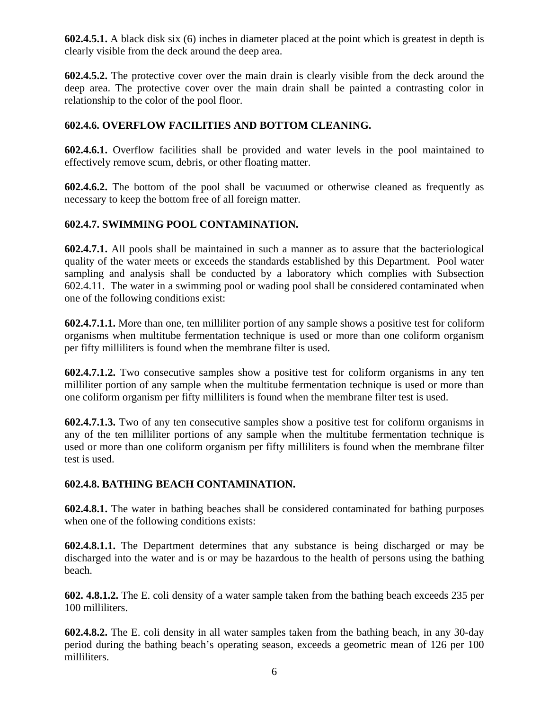**602.4.5.1.** A black disk six (6) inches in diameter placed at the point which is greatest in depth is clearly visible from the deck around the deep area.

**602.4.5.2.** The protective cover over the main drain is clearly visible from the deck around the deep area. The protective cover over the main drain shall be painted a contrasting color in relationship to the color of the pool floor.

## **602.4.6. OVERFLOW FACILITIES AND BOTTOM CLEANING.**

**602.4.6.1.** Overflow facilities shall be provided and water levels in the pool maintained to effectively remove scum, debris, or other floating matter.

**602.4.6.2.** The bottom of the pool shall be vacuumed or otherwise cleaned as frequently as necessary to keep the bottom free of all foreign matter.

## **602.4.7. SWIMMING POOL CONTAMINATION.**

**602.4.7.1.** All pools shall be maintained in such a manner as to assure that the bacteriological quality of the water meets or exceeds the standards established by this Department. Pool water sampling and analysis shall be conducted by a laboratory which complies with Subsection 602.4.11. The water in a swimming pool or wading pool shall be considered contaminated when one of the following conditions exist:

**602.4.7.1.1.** More than one, ten milliliter portion of any sample shows a positive test for coliform organisms when multitube fermentation technique is used or more than one coliform organism per fifty milliliters is found when the membrane filter is used.

**602.4.7.1.2.** Two consecutive samples show a positive test for coliform organisms in any ten milliliter portion of any sample when the multitube fermentation technique is used or more than one coliform organism per fifty milliliters is found when the membrane filter test is used.

**602.4.7.1.3.** Two of any ten consecutive samples show a positive test for coliform organisms in any of the ten milliliter portions of any sample when the multitube fermentation technique is used or more than one coliform organism per fifty milliliters is found when the membrane filter test is used.

### **602.4.8. BATHING BEACH CONTAMINATION.**

**602.4.8.1.** The water in bathing beaches shall be considered contaminated for bathing purposes when one of the following conditions exists:

**602.4.8.1.1.** The Department determines that any substance is being discharged or may be discharged into the water and is or may be hazardous to the health of persons using the bathing beach.

**602. 4.8.1.2.** The E. coli density of a water sample taken from the bathing beach exceeds 235 per 100 milliliters.

**602.4.8.2.** The E. coli density in all water samples taken from the bathing beach, in any 30-day period during the bathing beach's operating season, exceeds a geometric mean of 126 per 100 milliliters.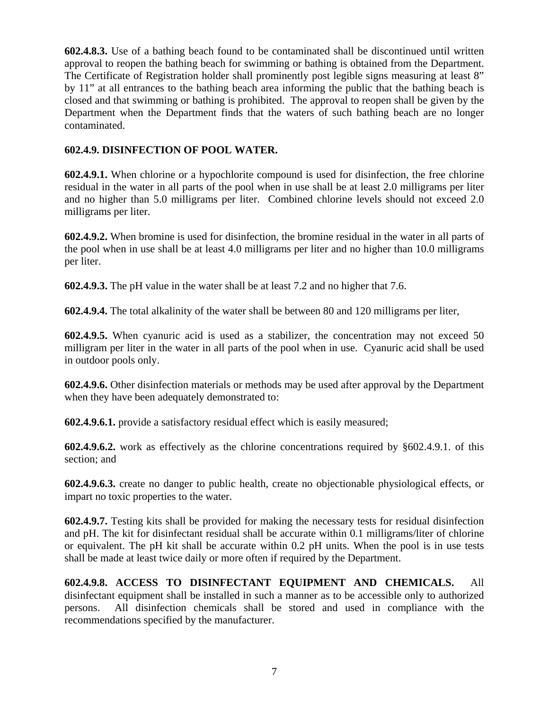**602.4.8.3.** Use of a bathing beach found to be contaminated shall be discontinued until written approval to reopen the bathing beach for swimming or bathing is obtained from the Department. The Certificate of Registration holder shall prominently post legible signs measuring at least 8" by 11" at all entrances to the bathing beach area informing the public that the bathing beach is closed and that swimming or bathing is prohibited. The approval to reopen shall be given by the Department when the Department finds that the waters of such bathing beach are no longer contaminated.

### **602.4.9. DISINFECTION OF POOL WATER.**

**602.4.9.1.** When chlorine or a hypochlorite compound is used for disinfection, the free chlorine residual in the water in all parts of the pool when in use shall be at least 2.0 milligrams per liter and no higher than 5.0 milligrams per liter. Combined chlorine levels should not exceed 2.0 milligrams per liter.

**602.4.9.2.** When bromine is used for disinfection, the bromine residual in the water in all parts of the pool when in use shall be at least 4.0 milligrams per liter and no higher than 10.0 milligrams per liter.

**602.4.9.3.** The pH value in the water shall be at least 7.2 and no higher that 7.6.

**602.4.9.4.** The total alkalinity of the water shall be between 80 and 120 milligrams per liter,

**602.4.9.5.** When cyanuric acid is used as a stabilizer, the concentration may not exceed 50 milligram per liter in the water in all parts of the pool when in use. Cyanuric acid shall be used in outdoor pools only.

**602.4.9.6.** Other disinfection materials or methods may be used after approval by the Department when they have been adequately demonstrated to:

**602.4.9.6.1.** provide a satisfactory residual effect which is easily measured;

**602.4.9.6.2.** work as effectively as the chlorine concentrations required by §602.4.9.1. of this section; and

**602.4.9.6.3.** create no danger to public health, create no objectionable physiological effects, or impart no toxic properties to the water.

**602.4.9.7.** Testing kits shall be provided for making the necessary tests for residual disinfection and pH. The kit for disinfectant residual shall be accurate within 0.1 milligrams/liter of chlorine or equivalent. The pH kit shall be accurate within 0.2 pH units. When the pool is in use tests shall be made at least twice daily or more often if required by the Department.

**602.4.9.8. ACCESS TO DISINFECTANT EQUIPMENT AND CHEMICALS.** All disinfectant equipment shall be installed in such a manner as to be accessible only to authorized persons. All disinfection chemicals shall be stored and used in compliance with the recommendations specified by the manufacturer.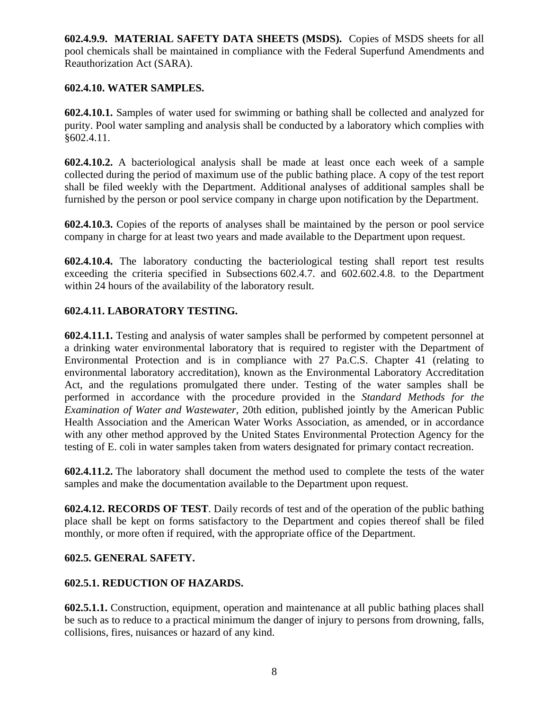**602.4.9.9. MATERIAL SAFETY DATA SHEETS (MSDS).** Copies of MSDS sheets for all pool chemicals shall be maintained in compliance with the Federal Superfund Amendments and Reauthorization Act (SARA).

#### **602.4.10. WATER SAMPLES.**

**602.4.10.1.** Samples of water used for swimming or bathing shall be collected and analyzed for purity. Pool water sampling and analysis shall be conducted by a laboratory which complies with §602.4.11.

**602.4.10.2.** A bacteriological analysis shall be made at least once each week of a sample collected during the period of maximum use of the public bathing place. A copy of the test report shall be filed weekly with the Department. Additional analyses of additional samples shall be furnished by the person or pool service company in charge upon notification by the Department.

**602.4.10.3.** Copies of the reports of analyses shall be maintained by the person or pool service company in charge for at least two years and made available to the Department upon request.

**602.4.10.4.** The laboratory conducting the bacteriological testing shall report test results exceeding the criteria specified in Subsections 602.4.7. and 602.602.4.8. to the Department within 24 hours of the availability of the laboratory result.

## **602.4.11. LABORATORY TESTING.**

**602.4.11.1.** Testing and analysis of water samples shall be performed by competent personnel at a drinking water environmental laboratory that is required to register with the Department of Environmental Protection and is in compliance with 27 Pa.C.S. Chapter 41 (relating to environmental laboratory accreditation), known as the Environmental Laboratory Accreditation Act, and the regulations promulgated there under. Testing of the water samples shall be performed in accordance with the procedure provided in the *Standard Methods for the Examination of Water and Wastewater*, 20th edition, published jointly by the American Public Health Association and the American Water Works Association, as amended, or in accordance with any other method approved by the United States Environmental Protection Agency for the testing of E. coli in water samples taken from waters designated for primary contact recreation.

**602.4.11.2.** The laboratory shall document the method used to complete the tests of the water samples and make the documentation available to the Department upon request.

**602.4.12. RECORDS OF TEST**. Daily records of test and of the operation of the public bathing place shall be kept on forms satisfactory to the Department and copies thereof shall be filed monthly, or more often if required, with the appropriate office of the Department.

### **602.5. GENERAL SAFETY.**

### **602.5.1. REDUCTION OF HAZARDS.**

**602.5.1.1.** Construction, equipment, operation and maintenance at all public bathing places shall be such as to reduce to a practical minimum the danger of injury to persons from drowning, falls, collisions, fires, nuisances or hazard of any kind.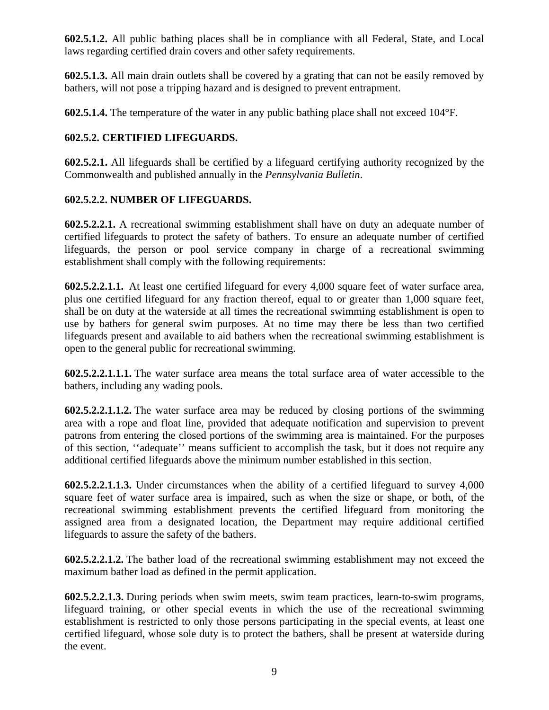**602.5.1.2.** All public bathing places shall be in compliance with all Federal, State, and Local laws regarding certified drain covers and other safety requirements.

**602.5.1.3.** All main drain outlets shall be covered by a grating that can not be easily removed by bathers, will not pose a tripping hazard and is designed to prevent entrapment.

**602.5.1.4.** The temperature of the water in any public bathing place shall not exceed 104°F.

## **602.5.2. CERTIFIED LIFEGUARDS.**

**602.5.2.1.** All lifeguards shall be certified by a lifeguard certifying authority recognized by the Commonwealth and published annually in the *Pennsylvania Bulletin*.

## **602.5.2.2. NUMBER OF LIFEGUARDS.**

**602.5.2.2.1.** A recreational swimming establishment shall have on duty an adequate number of certified lifeguards to protect the safety of bathers. To ensure an adequate number of certified lifeguards, the person or pool service company in charge of a recreational swimming establishment shall comply with the following requirements:

**602.5.2.2.1.1.** At least one certified lifeguard for every 4,000 square feet of water surface area, plus one certified lifeguard for any fraction thereof, equal to or greater than 1,000 square feet, shall be on duty at the waterside at all times the recreational swimming establishment is open to use by bathers for general swim purposes. At no time may there be less than two certified lifeguards present and available to aid bathers when the recreational swimming establishment is open to the general public for recreational swimming.

**602.5.2.2.1.1.1.** The water surface area means the total surface area of water accessible to the bathers, including any wading pools.

**602.5.2.2.1.1.2.** The water surface area may be reduced by closing portions of the swimming area with a rope and float line, provided that adequate notification and supervision to prevent patrons from entering the closed portions of the swimming area is maintained. For the purposes of this section, ''adequate'' means sufficient to accomplish the task, but it does not require any additional certified lifeguards above the minimum number established in this section.

**602.5.2.2.1.1.3.** Under circumstances when the ability of a certified lifeguard to survey 4,000 square feet of water surface area is impaired, such as when the size or shape, or both, of the recreational swimming establishment prevents the certified lifeguard from monitoring the assigned area from a designated location, the Department may require additional certified lifeguards to assure the safety of the bathers.

**602.5.2.2.1.2.** The bather load of the recreational swimming establishment may not exceed the maximum bather load as defined in the permit application.

**602.5.2.2.1.3.** During periods when swim meets, swim team practices, learn-to-swim programs, lifeguard training, or other special events in which the use of the recreational swimming establishment is restricted to only those persons participating in the special events, at least one certified lifeguard, whose sole duty is to protect the bathers, shall be present at waterside during the event.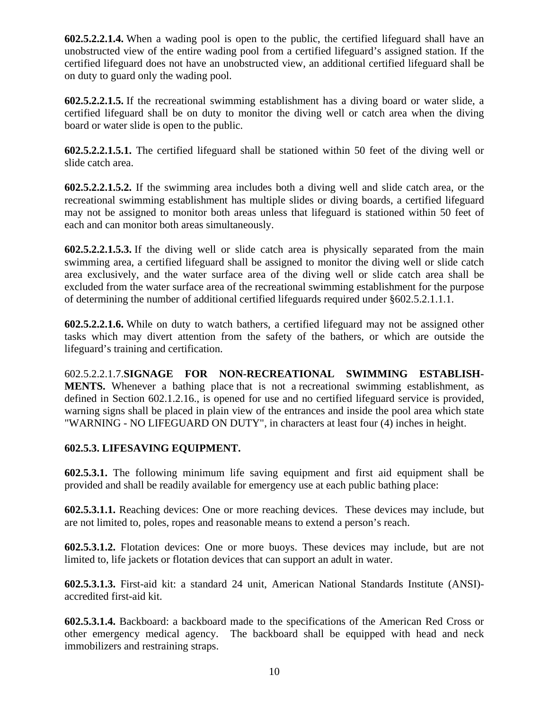**602.5.2.2.1.4.** When a wading pool is open to the public, the certified lifeguard shall have an unobstructed view of the entire wading pool from a certified lifeguard's assigned station. If the certified lifeguard does not have an unobstructed view, an additional certified lifeguard shall be on duty to guard only the wading pool.

**602.5.2.2.1.5.** If the recreational swimming establishment has a diving board or water slide, a certified lifeguard shall be on duty to monitor the diving well or catch area when the diving board or water slide is open to the public.

**602.5.2.2.1.5.1.** The certified lifeguard shall be stationed within 50 feet of the diving well or slide catch area.

**602.5.2.2.1.5.2.** If the swimming area includes both a diving well and slide catch area, or the recreational swimming establishment has multiple slides or diving boards, a certified lifeguard may not be assigned to monitor both areas unless that lifeguard is stationed within 50 feet of each and can monitor both areas simultaneously.

**602.5.2.2.1.5.3.** If the diving well or slide catch area is physically separated from the main swimming area, a certified lifeguard shall be assigned to monitor the diving well or slide catch area exclusively, and the water surface area of the diving well or slide catch area shall be excluded from the water surface area of the recreational swimming establishment for the purpose of determining the number of additional certified lifeguards required under §602.5.2.1.1.1.

**602.5.2.2.1.6.** While on duty to watch bathers, a certified lifeguard may not be assigned other tasks which may divert attention from the safety of the bathers, or which are outside the lifeguard's training and certification.

602.5.2.2.1.7.**SIGNAGE FOR NON-RECREATIONAL SWIMMING ESTABLISH-MENTS.** Whenever a bathing place that is not a recreational swimming establishment, as defined in Section 602.1.2.16., is opened for use and no certified lifeguard service is provided, warning signs shall be placed in plain view of the entrances and inside the pool area which state "WARNING - NO LIFEGUARD ON DUTY", in characters at least four (4) inches in height.

### **602.5.3. LIFESAVING EQUIPMENT.**

**602.5.3.1.** The following minimum life saving equipment and first aid equipment shall be provided and shall be readily available for emergency use at each public bathing place:

**602.5.3.1.1.** Reaching devices: One or more reaching devices. These devices may include, but are not limited to, poles, ropes and reasonable means to extend a person's reach.

**602.5.3.1.2.** Flotation devices: One or more buoys. These devices may include, but are not limited to, life jackets or flotation devices that can support an adult in water.

**602.5.3.1.3.** First-aid kit: a standard 24 unit, American National Standards Institute (ANSI) accredited first-aid kit.

**602.5.3.1.4.** Backboard: a backboard made to the specifications of the American Red Cross or other emergency medical agency. The backboard shall be equipped with head and neck immobilizers and restraining straps.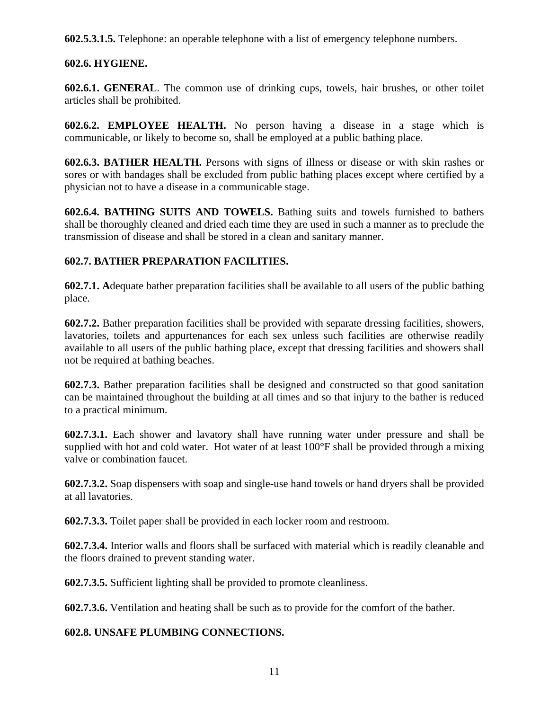**602.5.3.1.5.** Telephone: an operable telephone with a list of emergency telephone numbers.

### **602.6. HYGIENE.**

**602.6.1. GENERAL**. The common use of drinking cups, towels, hair brushes, or other toilet articles shall be prohibited.

**602.6.2. EMPLOYEE HEALTH.** No person having a disease in a stage which is communicable, or likely to become so, shall be employed at a public bathing place.

**602.6.3. BATHER HEALTH.** Persons with signs of illness or disease or with skin rashes or sores or with bandages shall be excluded from public bathing places except where certified by a physician not to have a disease in a communicable stage.

**602.6.4. BATHING SUITS AND TOWELS.** Bathing suits and towels furnished to bathers shall be thoroughly cleaned and dried each time they are used in such a manner as to preclude the transmission of disease and shall be stored in a clean and sanitary manner.

# **602.7. BATHER PREPARATION FACILITIES.**

**602.7.1. A**dequate bather preparation facilities shall be available to all users of the public bathing place.

**602.7.2.** Bather preparation facilities shall be provided with separate dressing facilities, showers, lavatories, toilets and appurtenances for each sex unless such facilities are otherwise readily available to all users of the public bathing place, except that dressing facilities and showers shall not be required at bathing beaches.

**602.7.3.** Bather preparation facilities shall be designed and constructed so that good sanitation can be maintained throughout the building at all times and so that injury to the bather is reduced to a practical minimum.

**602.7.3.1.** Each shower and lavatory shall have running water under pressure and shall be supplied with hot and cold water. Hot water of at least 100°F shall be provided through a mixing valve or combination faucet.

**602.7.3.2.** Soap dispensers with soap and single-use hand towels or hand dryers shall be provided at all lavatories.

**602.7.3.3.** Toilet paper shall be provided in each locker room and restroom.

**602.7.3.4.** Interior walls and floors shall be surfaced with material which is readily cleanable and the floors drained to prevent standing water.

**602.7.3.5.** Sufficient lighting shall be provided to promote cleanliness.

**602.7.3.6.** Ventilation and heating shall be such as to provide for the comfort of the bather.

### **602.8. UNSAFE PLUMBING CONNECTIONS.**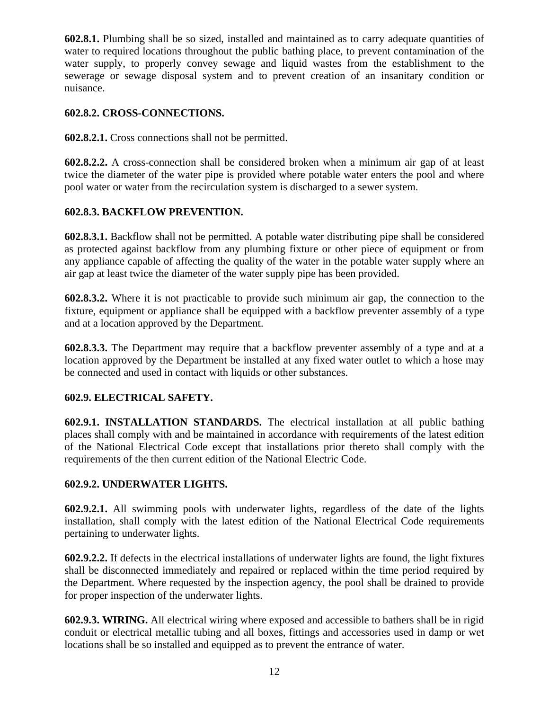**602.8.1.** Plumbing shall be so sized, installed and maintained as to carry adequate quantities of water to required locations throughout the public bathing place, to prevent contamination of the water supply, to properly convey sewage and liquid wastes from the establishment to the sewerage or sewage disposal system and to prevent creation of an insanitary condition or nuisance.

### **602.8.2. CROSS-CONNECTIONS.**

**602.8.2.1.** Cross connections shall not be permitted.

**602.8.2.2.** A cross-connection shall be considered broken when a minimum air gap of at least twice the diameter of the water pipe is provided where potable water enters the pool and where pool water or water from the recirculation system is discharged to a sewer system.

### **602.8.3. BACKFLOW PREVENTION.**

**602.8.3.1.** Backflow shall not be permitted. A potable water distributing pipe shall be considered as protected against backflow from any plumbing fixture or other piece of equipment or from any appliance capable of affecting the quality of the water in the potable water supply where an air gap at least twice the diameter of the water supply pipe has been provided.

**602.8.3.2.** Where it is not practicable to provide such minimum air gap, the connection to the fixture, equipment or appliance shall be equipped with a backflow preventer assembly of a type and at a location approved by the Department.

**602.8.3.3.** The Department may require that a backflow preventer assembly of a type and at a location approved by the Department be installed at any fixed water outlet to which a hose may be connected and used in contact with liquids or other substances.

### **602.9. ELECTRICAL SAFETY.**

**602.9.1. INSTALLATION STANDARDS.** The electrical installation at all public bathing places shall comply with and be maintained in accordance with requirements of the latest edition of the National Electrical Code except that installations prior thereto shall comply with the requirements of the then current edition of the National Electric Code.

### **602.9.2. UNDERWATER LIGHTS.**

**602.9.2.1.** All swimming pools with underwater lights, regardless of the date of the lights installation, shall comply with the latest edition of the National Electrical Code requirements pertaining to underwater lights.

**602.9.2.2.** If defects in the electrical installations of underwater lights are found, the light fixtures shall be disconnected immediately and repaired or replaced within the time period required by the Department. Where requested by the inspection agency, the pool shall be drained to provide for proper inspection of the underwater lights.

**602.9.3. WIRING.** All electrical wiring where exposed and accessible to bathers shall be in rigid conduit or electrical metallic tubing and all boxes, fittings and accessories used in damp or wet locations shall be so installed and equipped as to prevent the entrance of water.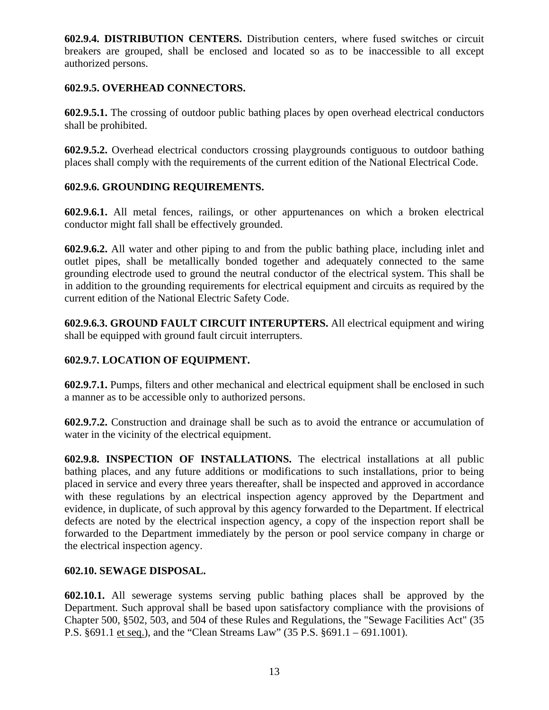**602.9.4. DISTRIBUTION CENTERS.** Distribution centers, where fused switches or circuit breakers are grouped, shall be enclosed and located so as to be inaccessible to all except authorized persons.

### **602.9.5. OVERHEAD CONNECTORS.**

**602.9.5.1.** The crossing of outdoor public bathing places by open overhead electrical conductors shall be prohibited.

**602.9.5.2.** Overhead electrical conductors crossing playgrounds contiguous to outdoor bathing places shall comply with the requirements of the current edition of the National Electrical Code.

## **602.9.6. GROUNDING REQUIREMENTS.**

**602.9.6.1.** All metal fences, railings, or other appurtenances on which a broken electrical conductor might fall shall be effectively grounded.

**602.9.6.2.** All water and other piping to and from the public bathing place, including inlet and outlet pipes, shall be metallically bonded together and adequately connected to the same grounding electrode used to ground the neutral conductor of the electrical system. This shall be in addition to the grounding requirements for electrical equipment and circuits as required by the current edition of the National Electric Safety Code.

**602.9.6.3. GROUND FAULT CIRCUIT INTERUPTERS.** All electrical equipment and wiring shall be equipped with ground fault circuit interrupters.

## **602.9.7. LOCATION OF EQUIPMENT.**

**602.9.7.1.** Pumps, filters and other mechanical and electrical equipment shall be enclosed in such a manner as to be accessible only to authorized persons.

**602.9.7.2.** Construction and drainage shall be such as to avoid the entrance or accumulation of water in the vicinity of the electrical equipment.

**602.9.8. INSPECTION OF INSTALLATIONS.** The electrical installations at all public bathing places, and any future additions or modifications to such installations, prior to being placed in service and every three years thereafter, shall be inspected and approved in accordance with these regulations by an electrical inspection agency approved by the Department and evidence, in duplicate, of such approval by this agency forwarded to the Department. If electrical defects are noted by the electrical inspection agency, a copy of the inspection report shall be forwarded to the Department immediately by the person or pool service company in charge or the electrical inspection agency.

### **602.10. SEWAGE DISPOSAL.**

**602.10.1.** All sewerage systems serving public bathing places shall be approved by the Department. Such approval shall be based upon satisfactory compliance with the provisions of Chapter 500, §502, 503, and 504 of these Rules and Regulations, the "Sewage Facilities Act" (35 P.S. §691.1 et seq.), and the "Clean Streams Law" (35 P.S. §691.1 – 691.1001).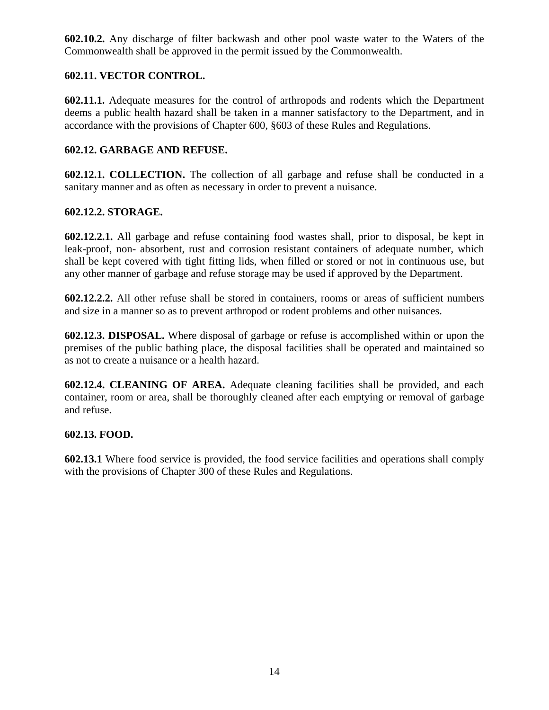**602.10.2.** Any discharge of filter backwash and other pool waste water to the Waters of the Commonwealth shall be approved in the permit issued by the Commonwealth.

## **602.11. VECTOR CONTROL.**

**602.11.1.** Adequate measures for the control of arthropods and rodents which the Department deems a public health hazard shall be taken in a manner satisfactory to the Department, and in accordance with the provisions of Chapter 600, §603 of these Rules and Regulations.

### **602.12. GARBAGE AND REFUSE.**

**602.12.1. COLLECTION.** The collection of all garbage and refuse shall be conducted in a sanitary manner and as often as necessary in order to prevent a nuisance.

## **602.12.2. STORAGE.**

**602.12.2.1.** All garbage and refuse containing food wastes shall, prior to disposal, be kept in leak-proof, non- absorbent, rust and corrosion resistant containers of adequate number, which shall be kept covered with tight fitting lids, when filled or stored or not in continuous use, but any other manner of garbage and refuse storage may be used if approved by the Department.

**602.12.2.2.** All other refuse shall be stored in containers, rooms or areas of sufficient numbers and size in a manner so as to prevent arthropod or rodent problems and other nuisances.

**602.12.3. DISPOSAL.** Where disposal of garbage or refuse is accomplished within or upon the premises of the public bathing place, the disposal facilities shall be operated and maintained so as not to create a nuisance or a health hazard.

**602.12.4. CLEANING OF AREA.** Adequate cleaning facilities shall be provided, and each container, room or area, shall be thoroughly cleaned after each emptying or removal of garbage and refuse.

### **602.13. FOOD.**

**602.13.1** Where food service is provided, the food service facilities and operations shall comply with the provisions of Chapter 300 of these Rules and Regulations.